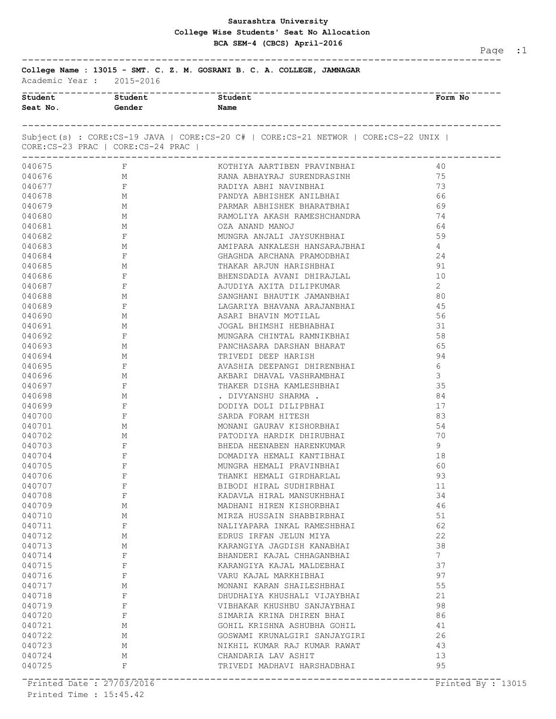## **Saurashtra University BCA SEM-4 (CBCS) April-2016 College Wise Students' Seat No Allocation**

Page :1

------------------------------------------------------------------------------- **College Name : 13015 - SMT. C. Z. M. GOSRANI B. C. A. COLLEGE, JAMNAGAR**

| Academic Year : |  | 2015-2016 |
|-----------------|--|-----------|
|                 |  |           |

| Student          | Student                                                             | <b>Student</b>                                                                         | Form No                                      |  |
|------------------|---------------------------------------------------------------------|----------------------------------------------------------------------------------------|----------------------------------------------|--|
| Seat No.         | Gender                                                              | Name                                                                                   |                                              |  |
|                  |                                                                     | Subject(s): CORE:CS-19 JAVA   CORE:CS-20 C#   CORE:CS-21 NETWOR   CORE:CS-22 UNIX      |                                              |  |
|                  | CORE: CS-23 PRAC   CORE: CS-24 PRAC  <br>-------------------------- |                                                                                        |                                              |  |
|                  | 040675 F                                                            | KOTHIYA AARTIBEN PRAVINBHAI                                                            | 40                                           |  |
|                  | 040676 M                                                            | RANA ABHAYRAJ SURENDRASINH                                                             | 75                                           |  |
| 040677           | $\mathbb F$                                                         | RADIYA ABHI NAVINBHAI                                                                  | 73                                           |  |
| 040678           | $\begin{array}{c}\n M \\  M\n \end{array}$                          |                                                                                        | - 66                                         |  |
| 040679           |                                                                     | PANDYA ABHISHEK ANILBHAI<br>PARMAR ABHISHEK BHARATBHAI<br>RAMOLIYA AKASH RAMESHCHANDRA | - 69                                         |  |
| 040680           | M                                                                   |                                                                                        | 74                                           |  |
|                  | 040681 M                                                            | OZA ANAND MANOJ                                                                        | 64                                           |  |
| 040682           | $\mathbf{F}$ and $\mathbf{F}$                                       | MUNGRA ANJALI JAYSUKHBHAI                                                              | 59                                           |  |
| 040683           | M <sub>N</sub>                                                      | AMIPARA ANKALESH HANSARAJBHAI<br>2112 AUDA 12 AUDUL PRIMARAJULT                        | 4                                            |  |
| 040684           | $$\,{\rm F}$$ M                                                     | GHAGHDA ARCHANA PRAMODBHAI<br>THAKAR ARJUN HARISHBHAI                                  | 24                                           |  |
| 040685           |                                                                     |                                                                                        | 91                                           |  |
| 040686           | $\mathbb{F}$                                                        | BHENSDADIA AVANI DHIRAJLAL                                                             | 10                                           |  |
|                  | 040687 F                                                            | AJUDIYA AXITA DILIPKUMAR                                                               | 2                                            |  |
|                  | 040688 M                                                            | SANGHANI BHAUTIK JAMANBHAI                                                             | 80                                           |  |
| 040689           | $\mathbb F$                                                         | LAGARIYA BHAVANA ARAJANBHAI                                                            | 45                                           |  |
| 040690           | $\begin{array}{c}\n M \\  M\n \end{array}$                          | ASARI BHAVIN MOTILAL<br>JOGAL BHIMSHI HEBHABHAI                                        | 56                                           |  |
| 040691           |                                                                     |                                                                                        | 31                                           |  |
| 040692           | $\mathbf{F}$                                                        | MUNGARA CHINTAL RAMNIKBHAI                                                             | 58                                           |  |
| 040693           | M                                                                   | PANCHASARA DARSHAN BHARAT                                                              | 65                                           |  |
| 040694           | M <sub>N</sub>                                                      | TRIVEDI DEEP HARISH                                                                    | 94                                           |  |
| 040695           | $\mathbb F$                                                         | AVASHIA DEEPANGI DHIRENBHAI<br>AIRAAF AULULI ULAUDLUDULT                               | 6                                            |  |
| 040696           | $\begin{array}{c}\n\mathbb{M} \\ \mathbb{F}\n\end{array}$           | AKBARI DHAVAL VASHRAMBHAI<br>THAKER DISHA KAMLESHBHAI                                  | 3                                            |  |
| 040697           |                                                                     |                                                                                        | 35                                           |  |
| 040698           | M                                                                   | . DIVYANSHU SHARMA .                                                                   | 84                                           |  |
|                  | 040699 F                                                            | DODIYA DOLI DILIPBHAI                                                                  | 17                                           |  |
| 040700           | $\mathbb F$                                                         | SARDA FORAM HITESH                                                                     | 83                                           |  |
| 040701           | M                                                                   | MONANI GAURAV KISHORBHAI                                                               | 54                                           |  |
| 040702           | $\begin{array}{c}\n M \\  F\n\end{array}$                           | PATODIYA HARDIK DHIRUBHAI<br>BHEDA HEENABEN HARENKUMAR                                 | 70                                           |  |
| 040703           |                                                                     |                                                                                        | 9                                            |  |
| 040704           | $\mathbb F$                                                         | DOMADIYA HEMALI KANTIBHAI                                                              | 18                                           |  |
|                  | 040705 F                                                            | MUNGRA HEMALI PRAVINBHAI                                                               | 60                                           |  |
| 040706           | F                                                                   | THANKI HEMALI GIRDHARLAL                                                               | 93                                           |  |
| 040707           | $\mathbf F$                                                         | BIBODI HIRAL SUDHIRBHAI                                                                | 11                                           |  |
| 040708           | $\mathbb{F}$                                                        | KADAVLA HIRAL MANSUKHBHAI                                                              | 34                                           |  |
| 040709           | М                                                                   | MADHANI HIREN KISHORBHAI                                                               | 46                                           |  |
| 040710<br>040711 | М<br>F                                                              | MIRZA HUSSAIN SHABBIRBHAI                                                              | 51                                           |  |
| 040712           | М                                                                   | NALIYAPARA INKAL RAMESHBHAI<br>EDRUS IRFAN JELUN MIYA                                  | 62<br>22                                     |  |
| 040713           | М                                                                   | KARANGIYA JAGDISH KANABHAI                                                             | 38                                           |  |
| 040714           | F                                                                   | BHANDERI KAJAL CHHAGANBHAI                                                             | $7\overline{ }$                              |  |
| 040715           | F                                                                   | KARANGIYA KAJAL MALDEBHAI                                                              | 37                                           |  |
| 040716           | F                                                                   | VARU KAJAL MARKHIBHAI                                                                  | 97                                           |  |
| 040717           | М                                                                   | MONANI KARAN SHAILESHBHAI                                                              | 55                                           |  |
| 040718           | F                                                                   | DHUDHAIYA KHUSHALI VIJAYBHAI                                                           | 21                                           |  |
| 040719           | F                                                                   | VIBHAKAR KHUSHBU SANJAYBHAI                                                            | 98                                           |  |
| 040720           | F                                                                   | SIMARIA KRINA DHIREN BHAI                                                              | 86                                           |  |
| 040721           | М                                                                   | GOHIL KRISHNA ASHUBHA GOHIL                                                            | 41                                           |  |
| 040722           | М                                                                   | GOSWAMI KRUNALGIRI SANJAYGIRI                                                          | 26                                           |  |
| 040723           | М                                                                   | NIKHIL KUMAR RAJ KUMAR RAWAT                                                           | 43                                           |  |
| 040724           | М                                                                   | CHANDARIA LAV ASHIT                                                                    | 13                                           |  |
| 040725           | F                                                                   | TRIVEDI MADHAVI HARSHADBHAI                                                            | 95                                           |  |
|                  |                                                                     |                                                                                        |                                              |  |
|                  | Printed Date : 27703/2016                                           |                                                                                        | $\overline{Printed}$ By $\overline{r}$ 13015 |  |